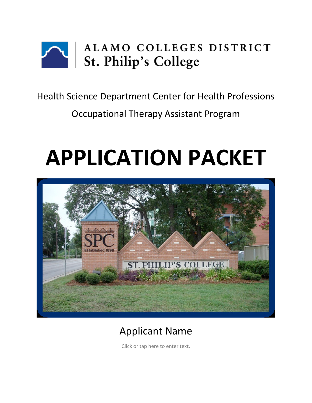

Health Science Department Center for Health Professions

Occupational Therapy Assistant Program

# **APPLICATION PACKET**



# Applicant Name

Click or tap here to enter text.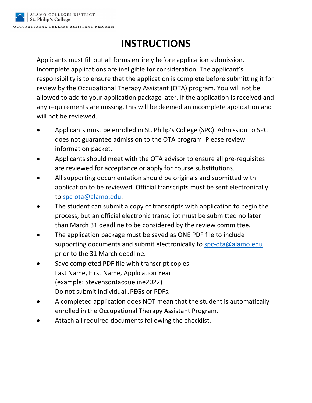

## **INSTRUCTIONS**

Applicants must fill out all forms entirely before application submission. Incomplete applications are ineligible for consideration. The applicant's responsibility is to ensure that the application is complete before submitting it for review by the Occupational Therapy Assistant (OTA) program. You will not be allowed to add to your application package later. If the application is received and any requirements are missing, this will be deemed an incomplete application and will not be reviewed.

- Applicants must be enrolled in St. Philip's College (SPC). Admission to SPC does not guarantee admission to the OTA program. Please review information packet.
- Applicants should meet with the OTA advisor to ensure all pre-requisites are reviewed for acceptance or apply for course substitutions.
- All supporting documentation should be originals and submitted with application to be reviewed. Official transcripts must be sent electronically to spc-ota@alamo.edu.
- The student can submit a copy of transcripts with application to begin the process, but an official electronic transcript must be submitted no later than March 31 deadline to be considered by the review committee.
- The application package must be saved as ONE PDF file to include supporting documents and submit electronically to spc-ota@alamo.edu prior to the 31 March deadline.
- Save completed PDF file with transcript copies: Last Name, First Name, Application Year (example: StevensonJacqueline2022) Do not submit individual JPEGs or PDFs.
- A completed application does NOT mean that the student is automatically enrolled in the Occupational Therapy Assistant Program.
- Attach all required documents following the checklist.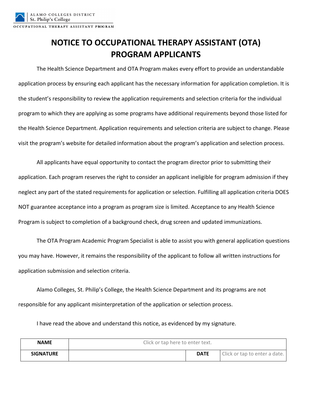## **NOTICE TO OCCUPATIONAL THERAPY ASSISTANT (OTA) PROGRAM APPLICANTS**

The Health Science Department and OTA Program makes every effort to provide an understandable application process by ensuring each applicant has the necessary information for application completion. It is the student's responsibility to review the application requirements and selection criteria for the individual program to which they are applying as some programs have additional requirements beyond those listed for the Health Science Department. Application requirements and selection criteria are subject to change. Please visit the program's website for detailed information about the program's application and selection process.

All applicants have equal opportunity to contact the program director prior to submitting their application. Each program reserves the right to consider an applicant ineligible for program admission if they neglect any part of the stated requirements for application or selection. Fulfilling all application criteria DOES NOT guarantee acceptance into a program as program size is limited. Acceptance to any Health Science Program is subject to completion of a background check, drug screen and updated immunizations.

The OTA Program Academic Program Specialist is able to assist you with general application questions you may have. However, it remains the responsibility of the applicant to follow all written instructions for application submission and selection criteria.

Alamo Colleges, St. Philip's College, the Health Science Department and its programs are not responsible for any applicant misinterpretation of the application or selection process.

I have read the above and understand this notice, as evidenced by my signature.

| <b>NAME</b>      | Click or tap here to enter text. |             |                               |
|------------------|----------------------------------|-------------|-------------------------------|
| <b>SIGNATURE</b> |                                  | <b>DATE</b> | Click or tap to enter a date. |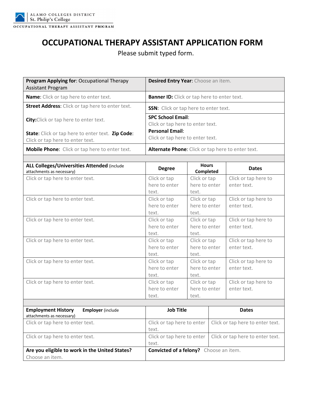

### **OCCUPATIONAL THERAPY ASSISTANT APPLICATION FORM**

Please submit typed form.

| Program Applying for: Occupational Therapy<br><b>Assistant Program</b>                | Desired Entry Year: Choose an item.                          |
|---------------------------------------------------------------------------------------|--------------------------------------------------------------|
| <b>Name:</b> Click or tap here to enter text.                                         | <b>Banner ID:</b> Click or tap here to enter text.           |
| <b>Street Address:</b> Click or tap here to enter text.                               | <b>SSN:</b> Click or tap here to enter text.                 |
| <b>City:</b> Click or tap here to enter text.                                         | <b>SPC School Email:</b><br>Click or tap here to enter text. |
| State: Click or tap here to enter text. Zip Code:<br>Click or tap here to enter text. | <b>Personal Email:</b><br>Click or tap here to enter text.   |
| <b>Mobile Phone:</b> Click or tap here to enter text.                                 | <b>Alternate Phone:</b> Click or tap here to enter text.     |
|                                                                                       |                                                              |

| <b>ALL Colleges/Universities Attended (include</b>    | <b>Hours</b><br><b>Degree</b>                 |               |                                  | <b>Dates</b>                     |
|-------------------------------------------------------|-----------------------------------------------|---------------|----------------------------------|----------------------------------|
| attachments as necessary)                             |                                               | Completed     |                                  |                                  |
| Click or tap here to enter text.                      | Click or tap                                  | Click or tap  |                                  | Click or tap here to             |
|                                                       | here to enter                                 | here to enter |                                  | enter text.                      |
|                                                       | text.                                         | text.         |                                  |                                  |
| Click or tap here to enter text.                      | Click or tap                                  | Click or tap  |                                  | Click or tap here to             |
|                                                       | here to enter                                 | here to enter |                                  | enter text.                      |
|                                                       | text.                                         | text.         |                                  |                                  |
| Click or tap here to enter text.                      | Click or tap                                  | Click or tap  |                                  | Click or tap here to             |
|                                                       | here to enter                                 | here to enter |                                  | enter text.                      |
|                                                       | text.                                         | text.         |                                  |                                  |
| Click or tap here to enter text.                      | Click or tap                                  | Click or tap  |                                  | Click or tap here to             |
|                                                       | here to enter                                 | here to enter |                                  | enter text.                      |
|                                                       | text.                                         | text.         |                                  |                                  |
| Click or tap here to enter text.                      | Click or tap                                  | Click or tap  |                                  | Click or tap here to             |
|                                                       | here to enter                                 | here to enter |                                  | enter text.                      |
|                                                       | text.                                         | text.         |                                  |                                  |
| Click or tap here to enter text.                      | Click or tap                                  | Click or tap  |                                  | Click or tap here to             |
|                                                       | here to enter                                 | here to enter |                                  | enter text.                      |
|                                                       | text.                                         | text.         |                                  |                                  |
|                                                       |                                               |               |                                  |                                  |
| <b>Employment History</b><br><b>Employer</b> (include | <b>Job Title</b>                              |               |                                  | <b>Dates</b>                     |
| attachments as necessary)                             |                                               |               |                                  |                                  |
| Click or tap here to enter text.                      | Click or tap here to enter                    |               |                                  | Click or tap here to enter text. |
|                                                       | text.                                         |               |                                  |                                  |
| Click or tap here to enter text.                      | Click or tap here to enter                    |               | Click or tap here to enter text. |                                  |
|                                                       | text.                                         |               |                                  |                                  |
| Are you eligible to work in the United States?        | <b>Convicted of a felony?</b> Choose an item. |               |                                  |                                  |
| Choose an item.                                       |                                               |               |                                  |                                  |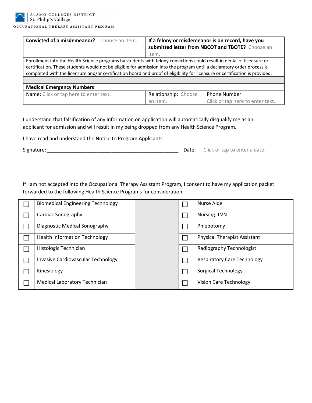

ALAMO COLLEGES DISTRICT St. Philip's College

OCCUPATIONAL THERAPY ASSISTANT PROGRAM

| <b>Convicted of a misdemeanor?</b> Choose an item.                                                                                                                                                                                                                                                                                                                                | If a felony or misdemeanor is on record, have you<br>submitted letter from NBCOT and TBOTE? Choose an |                                  |  |
|-----------------------------------------------------------------------------------------------------------------------------------------------------------------------------------------------------------------------------------------------------------------------------------------------------------------------------------------------------------------------------------|-------------------------------------------------------------------------------------------------------|----------------------------------|--|
|                                                                                                                                                                                                                                                                                                                                                                                   | item.                                                                                                 |                                  |  |
| Enrollment into the Health Science programs by students with felony convictions could result in denial of licensure or<br>certification. These students would not be eligible for admission into the program until a declaratory order process is<br>completed with the licensure and/or certification board and proof of eligibility for licensure or certification is provided. |                                                                                                       |                                  |  |
| <b>Medical Emergency Numbers</b>                                                                                                                                                                                                                                                                                                                                                  |                                                                                                       |                                  |  |
| Name: Click or tap here to enter text.                                                                                                                                                                                                                                                                                                                                            | Relationship: Choose                                                                                  | <b>Phone Number</b>              |  |
|                                                                                                                                                                                                                                                                                                                                                                                   | an item.                                                                                              | Click or tap here to enter text. |  |

I understand that falsification of any information on application will automatically disqualify me as an applicant for admission and will result in my being dropped from any Health Science Program.

I have read and understand the Notice to Program Applicants.

Signature: \_\_\_\_\_\_\_\_\_\_\_\_\_\_\_\_\_\_\_\_\_\_\_\_\_\_\_\_\_\_\_\_\_\_\_\_\_\_\_\_\_\_\_\_\_\_\_ Date: Click or tap to enter a date.

If I am not accepted into the Occupational Therapy Assistant Program, I consent to have my application packet forwarded to the following Health Science Programs for consideration:

| <b>Biomedical Engineering Technology</b> |  | Nurse Aide                          |
|------------------------------------------|--|-------------------------------------|
| Cardiac Sonography                       |  | <b>Nursing: LVN</b>                 |
| Diagnostic Medical Sonography            |  | Phlebotomy                          |
| <b>Health Information Technology</b>     |  | <b>Physical Therapist Assistant</b> |
| Histologic Technician                    |  | Radiography Technologist            |
| Invasive Cardiovascular Technology       |  | <b>Respiratory Care Technology</b>  |
| Kinesiology                              |  | <b>Surgical Technology</b>          |
| <b>Medical Laboratory Technician</b>     |  | <b>Vision Care Technology</b>       |